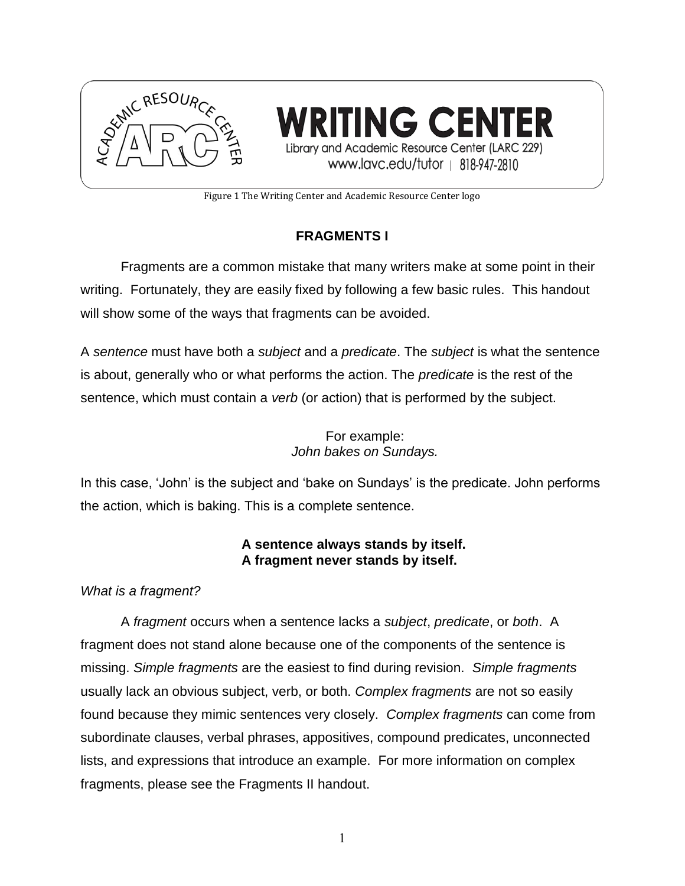

**TING CENTER** Library and Academic Resource Center (LARC 229) www.lavc.edu/tutor | 818-947-2810

Figure 1 The Writing Center and Academic Resource Center logo

# **FRAGMENTS I**

Fragments are a common mistake that many writers make at some point in their writing. Fortunately, they are easily fixed by following a few basic rules. This handout will show some of the ways that fragments can be avoided.

A *sentence* must have both a *subject* and a *predicate*. The *subject* is what the sentence is about, generally who or what performs the action. The *predicate* is the rest of the sentence, which must contain a *verb* (or action) that is performed by the subject.

> For example: *John bakes on Sundays.*

In this case, 'John' is the subject and 'bake on Sundays' is the predicate. John performs the action, which is baking. This is a complete sentence.

## **A sentence always stands by itself. A fragment never stands by itself.**

# *What is a fragment?*

A *fragment* occurs when a sentence lacks a *subject*, *predicate*, or *both*. A fragment does not stand alone because one of the components of the sentence is missing. *Simple fragments* are the easiest to find during revision. *Simple fragments* usually lack an obvious subject, verb, or both. *Complex fragments* are not so easily found because they mimic sentences very closely. *Complex fragments* can come from subordinate clauses, verbal phrases, appositives, compound predicates, unconnected lists, and expressions that introduce an example. For more information on complex fragments, please see the Fragments II handout.

1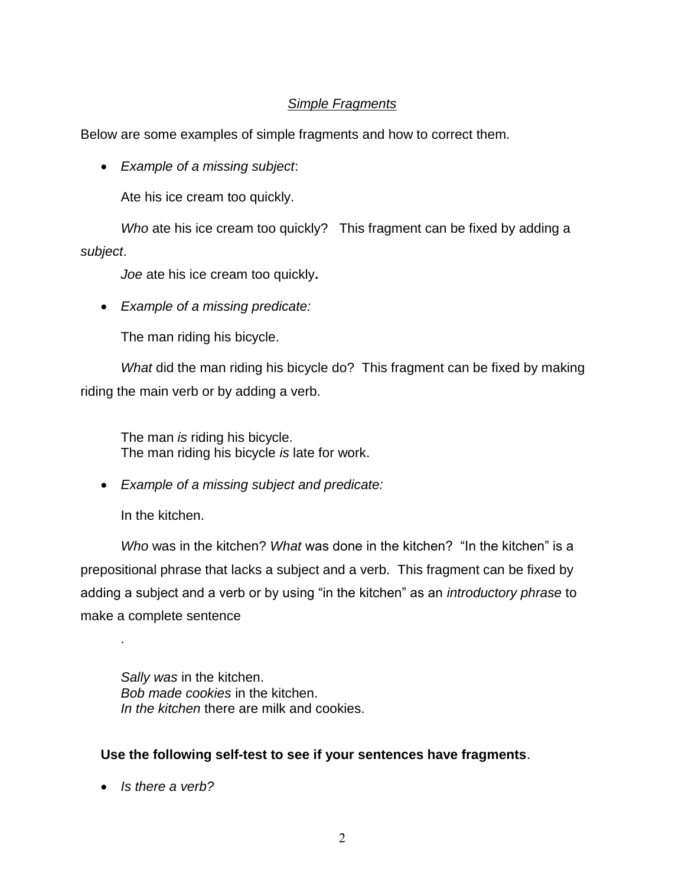### *Simple Fragments*

Below are some examples of simple fragments and how to correct them.

*Example of a missing subject*:

Ate his ice cream too quickly.

*Who* ate his ice cream too quickly? This fragment can be fixed by adding a *subject*.

*Joe* ate his ice cream too quickly**.** 

*Example of a missing predicate:*

The man riding his bicycle.

*What* did the man riding his bicycle do? This fragment can be fixed by making riding the main verb or by adding a verb.

The man *is* riding his bicycle. The man riding his bicycle *is* late for work.

*Example of a missing subject and predicate:*

In the kitchen.

.

*Who* was in the kitchen? *What* was done in the kitchen? "In the kitchen" is a prepositional phrase that lacks a subject and a verb. This fragment can be fixed by adding a subject and a verb or by using "in the kitchen" as an *introductory phrase* to make a complete sentence

*Sally was* in the kitchen. *Bob made cookies* in the kitchen. *In the kitchen* there are milk and cookies.

### **Use the following self-test to see if your sentences have fragments**.

*Is there a verb?*